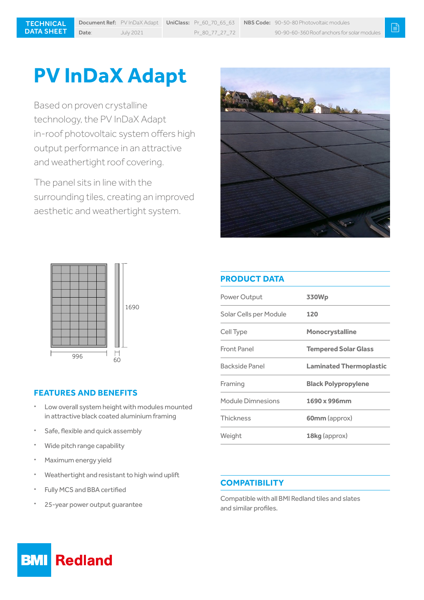# **PV InDaX Adapt**

Based on proven crystalline technology, the PV InDaX Adapt in-roof photovoltaic system offers high output performance in an attractive and weathertight roof covering.

The panel sits in line with the surrounding tiles, creating an improved aesthetic and weathertight system.





# **PRODUCT DATA**

| Power Output           | 330Wp                          |
|------------------------|--------------------------------|
| Solar Cells per Module | 120                            |
| Cell Type              | <b>Monocrystalline</b>         |
| Front Panel            | <b>Tempered Solar Glass</b>    |
| <b>Backside Panel</b>  | <b>Laminated Thermoplastic</b> |
| Framing                | <b>Black Polypropylene</b>     |
| Module Dimnesions      | 1690 x 996mm                   |
| <b>Thickness</b>       | <b>60mm</b> (approx)           |
| Weight                 | 18kg (approx)                  |

## **FEATURES AND BENEFITS**

- Low overall system height with modules mounted in attractive black coated aluminium framing
- Safe, flexible and quick assembly
- Wide pitch range capability
- Maximum energy yield
- Weathertight and resistant to high wind uplift
- Fully MCS and BBA certified
- 25-year power output guarantee

#### **COMPATIBILITY**

Compatible with all BMI Redland tiles and slates and similar profiles.

#### **Redland BMI**